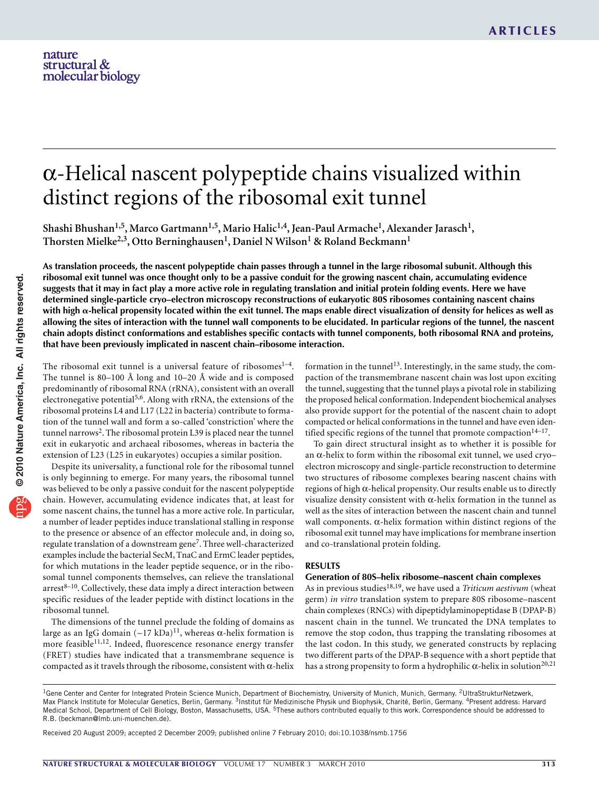# α-Helical nascent polypeptide chains visualized within distinct regions of the ribosomal exit tunnel

**Shashi Bhushan1,5, Marco Gartmann1,5, Mario Halic1,4, Jean-Paul Armache1, Alexander Jarasch1,**  Thorsten Mielke<sup>2,3</sup>, Otto Berninghausen<sup>1</sup>, Daniel N Wilson<sup>1</sup> & Roland Beckmann<sup>1</sup>

As translation proceeds, the nascent polypeptide chain passes through a tunnel in the large ribosomal subunit. Although this ribosomal exit tunnel was once thought only to be a passive conduit for the growing nascent chain, accumulating evidence suggests that it may in fact play a more active role in regulating translation and initial protein folding events. Here we have **determined single-particle cryo–electron microscopy reconstructions of eukaryotic 80S ribosomes containing nascent chains** with high  $\alpha$ -helical propensity located within the exit tunnel. The maps enable direct visualization of density for helices as well as allowing the sites of interaction with the tunnel wall components to be elucidated. In particular regions of the tunnel, the nascent chain adopts distinct conformations and establishes specific contacts with tunnel components, both ribosomal RNA and proteins, **that have been previously implicated in nascent chain–ribosome interaction.**

The ribosomal exit tunnel is a universal feature of ribosomes $<sup>1-4</sup>$ .</sup> The tunnel is 80–100 Å long and 10–20 Å wide and is composed predominantly of ribosomal RNA (rRNA), consistent with an overall electronegative potential<sup>5,6</sup>. Along with rRNA, the extensions of the ribosomal proteins L4 and L17 (L22 in bacteria) contribute to formation of the tunnel wall and form a so-called 'constriction' where the tunnel narrows<sup>[2](#page-4-0)</sup>. The ribosomal protein L39 is placed near the tunnel exit in eukaryotic and archaeal ribosomes, whereas in bacteria the extension of L23 (L25 in eukaryotes) occupies a similar position.

Despite its universality, a functional role for the ribosomal tunnel is only beginning to emerge. For many years, the ribosomal tunnel was believed to be only a passive conduit for the nascent polypeptide chain. However, accumulating evidence indicates that, at least for some nascent chains, the tunnel has a more active role. In particular, a number of leader peptides induce translational stalling in response to the presence or absence of an effector molecule and, in doing so, regulate translation of a downstream gene[7.](#page-4-1) Three well-characterized examples include the bacterial SecM, TnaC and ErmC leader peptides, for which mutations in the leader peptide sequence, or in the ribosomal tunnel components themselves, can relieve the translational  $arrest<sup>8–10</sup>$ . Collectively, these data imply a direct interaction between specific residues of the leader peptide with distinct locations in the ribosomal tunnel.

The dimensions of the tunnel preclude the folding of domains as large as an IgG domain  $($  ~17 kDa)<sup>[11](#page-4-2)</sup>, whereas α-helix formation is more feasible<sup>11,12</sup>. Indeed, fluorescence resonance energy transfer (FRET) studies have indicated that a transmembrane sequence is compacted as it travels through the ribosome, consistent with  $\alpha$ -helix formation in the tunnel<sup>13</sup>. Interestingly, in the same study, the compaction of the transmembrane nascent chain was lost upon exciting the tunnel, suggesting that the tunnel plays a pivotal role in stabilizing the proposed helical conformation. Independent biochemical analyses also provide support for the potential of the nascent chain to adopt compacted or helical conformations in the tunnel and have even identified specific regions of the tunnel that promote compaction $14-17$ .

To gain direct structural insight as to whether it is possible for an  $\alpha$ -helix to form within the ribosomal exit tunnel, we used cryoelectron microscopy and single-particle reconstruction to determine two structures of ribosome complexes bearing nascent chains with regions of high α-helical propensity. Our results enable us to directly visualize density consistent with α-helix formation in the tunnel as well as the sites of interaction between the nascent chain and tunnel wall components.  $\alpha$ -helix formation within distinct regions of the ribosomal exit tunnel may have implications for membrane insertion and co-translational protein folding.

### **RESULTS**

## **Generation of 80S–helix ribosome–nascent chain complexes**

As in previous studies<sup>18,19</sup>, we have used a *Triticum aestivum* (wheat germ) *in vitro* translation system to prepare 80S ribosome–nascent chain complexes (RNCs) with dipeptidylaminopeptidase B (DPAP-B) nascent chain in the tunnel. We truncated the DNA templates to remove the stop codon, thus trapping the translating ribosomes at the last codon. In this study, we generated constructs by replacing two different parts of the DPAP-B sequence with a short peptide that has a strong propensity to form a hydrophilic α-helix in solution<sup>20,21</sup>

<sup>&</sup>lt;sup>1</sup>Gene Center and Center for Integrated Protein Science Munich, Department of Biochemistry, University of Munich, Munich, Germany. <sup>2</sup>UltraStrukturNetzwerk, Max Planck Institute for Molecular Genetics, Berlin, Germany. <sup>3</sup>Institut für Medizinische Physik und Biophysik, Charité, Berlin, Germany. <sup>4</sup>Present address: Harvard Medical School, Department of Cell Biology, Boston, Massachusetts, USA. <sup>5</sup>These authors contributed equally to this work. Correspondence should be addressed to R.B. (beckmann@lmb.uni-muenchen.de).

Received 20 August 2009; accepted 2 December 2009; published online 7 February 2010; [doi:10.1038/nsmb.1756](http://www.nature.com/doifinder/10.1038/nsmb.1756)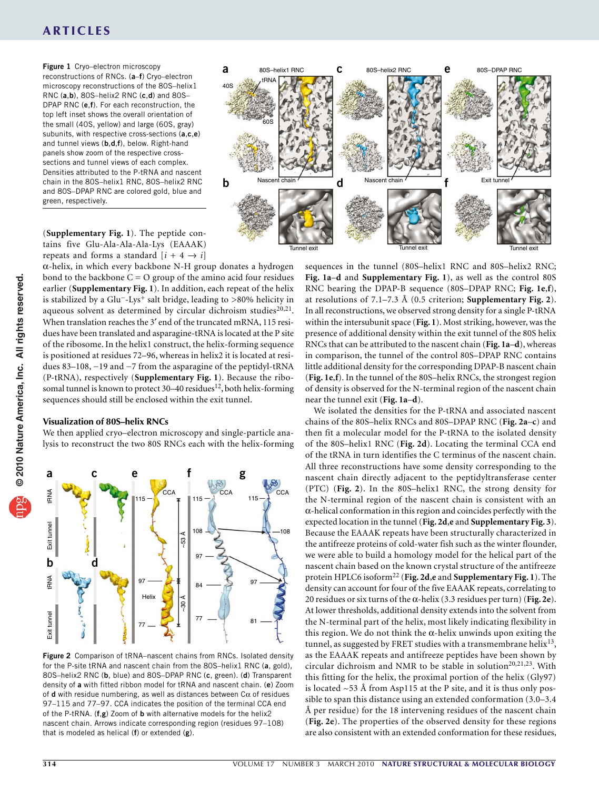## **ARTICLES**

<span id="page-1-0"></span>**Figure 1** Cryo–electron microscopy reconstructions of RNCs. (**a**–**f**) Cryo–electron microscopy reconstructions of the 80S–helix1 RNC (**a**,**b**), 80S–helix2 RNC (**c**,**d**) and 80S– DPAP RNC (**e**,**f**). For each reconstruction, the top left inset shows the overall orientation of the small (40S, yellow) and large (60S, gray) subunits, with respective cross-sections (**a**,**c**,**e**) and tunnel views (**b**,**d**,**f**), below. Right-hand panels show zoom of the respective crosssections and tunnel views of each complex. Densities attributed to the P-tRNA and nascent chain in the 80S–helix1 RNC, 80S–helix2 RNC and 80S–DPAP RNC are colored gold, blue and green, respectively.

(**Supplementary Fig. 1**). The peptide contains five Glu-Ala-Ala-Ala-Lys (EAAAK) repeats and forms a standard  $[i + 4 \rightarrow i]$ 

α-helix, in which every backbone N-H group donates a hydrogen bond to the backbone  $C = O$  group of the amino acid four residues earlier (**Supplementary Fig. 1**). In addition, each repeat of the helix is stabilized by a Glu−-Lys+ salt bridge, leading to >80% helicity in aqueous solvent as determined by circular dichroism studies $^{20,21}$ . When translation reaches the 3′ end of the truncated mRNA, 115 residues have been translated and asparagine-tRNA is located at the P site of the ribosome. In the helix1 construct, the helix-forming sequence is positioned at residues 72–96, whereas in helix2 it is located at residues 83–108, −19 and −7 from the asparagine of the peptidyl-tRNA (P-tRNA), respectively (**Supplementary Fig. 1**). Because the ribo-somal tunnel is known to protect 30-40 residues<sup>[12](#page-4-4)</sup>, both helix-forming sequences should still be enclosed within the exit tunnel.

#### **Visualization of 80S–helix RNCs**

We then applied cryo–electron microscopy and single-particle analysis to reconstruct the two 80S RNCs each with the helix-forming



<span id="page-1-1"></span>**Figure 2** Comparison of tRNA–nascent chains from RNCs. Isolated density for the P-site tRNA and nascent chain from the 80S–helix1 RNC (**a**, gold), 80S–helix2 RNC (**b**, blue) and 80S–DPAP RNC (**c**, green). (**d**) Transparent density of **a** with fitted ribbon model for tRNA and nascent chain. (**e**) Zoom of **d** with residue numbering, as well as distances between  $C\alpha$  of residues 97–115 and 77–97. CCA indicates the position of the terminal CCA end of the P-tRNA. (**f**,**g**) Zoom of **b** with alternative models for the helix2 nascent chain. Arrows indicate corresponding region (residues 97–108) that is modeled as helical (**f**) or extended (**g**).



sequences in the tunnel (80S–helix1 RNC and 80S–helix2 RNC; **[Fig. 1a](#page-1-0)**–**d** and **Supplementary Fig. 1**), as well as the control 80S RNC bearing the DPAP-B sequence (80S–DPAP RNC; **[Fig. 1e](#page-1-0)**,**f**), at resolutions of 7.1–7.3 Å (0.5 criterion; **Supplementary Fig. 2**). In all reconstructions, we observed strong density for a single P-tRNA within the intersubunit space (**[Fig. 1](#page-1-0)**). Most striking, however, was the presence of additional density within the exit tunnel of the 80S helix RNCs that can be attributed to the nascent chain (**[Fig. 1a](#page-1-0)**–**d**), whereas in comparison, the tunnel of the control 80S–DPAP RNC contains little additional density for the corresponding DPAP-B nascent chain (**[Fig. 1e](#page-1-0)**,**f**). In the tunnel of the 80S–helix RNCs, the strongest region of density is observed for the N-terminal region of the nascent chain near the tunnel exit (**[Fig. 1a](#page-1-0)**–**d**).

We isolated the densities for the P-tRNA and associated nascent chains of the 80S–helix RNCs and 80S–DPAP RNC (**[Fig. 2a](#page-1-1)**–**c**) and then fit a molecular model for the P-tRNA to the isolated density of the 80S–helix1 RNC (**[Fig. 2d](#page-1-1)**). Locating the terminal CCA end of the tRNA in turn identifies the C terminus of the nascent chain. All three reconstructions have some density corresponding to the nascent chain directly adjacent to the peptidyltransferase center (PTC) (**[Fig. 2](#page-1-1)**). In the 80S–helix1 RNC, the strong density for the N-terminal region of the nascent chain is consistent with an α-helical conformation in this region and coincides perfectly with the expected location in the tunnel (**[Fig. 2d](#page-1-1)**,**e** and **Supplementary Fig. 3**). Because the EAAAK repeats have been structurally characterized in the antifreeze proteins of cold-water fish such as the winter flounder, we were able to build a homology model for the helical part of the nascent chain based on the known crystal structure of the antifreeze protein HPLC6 isoform[22](#page-4-5) (**[Fig. 2d](#page-1-1)**,**e** and **Supplementary Fig. 1**). The density can account for four of the five EAAAK repeats, correlating to 20 residues or six turns of the α-helix (3.3 residues per turn) (**[Fig. 2e](#page-1-1)**). At lower thresholds, additional density extends into the solvent from the N-terminal part of the helix, most likely indicating flexibility in this region. We do not think the  $\alpha$ -helix unwinds upon exiting the tunnel, as suggested by FRET studies with a transmembrane helix<sup>13</sup>, as the EAAAK repeats and antifreeze peptides have been shown by circular dichroism and NMR to be stable in solution<sup>20,21,23</sup>. With this fitting for the helix, the proximal portion of the helix (Gly97) is located ~53 Å from Asp115 at the P site, and it is thus only possible to span this distance using an extended conformation (3.0–3.4 Å per residue) for the 18 intervening residues of the nascent chain (**[Fig. 2e](#page-1-1)**). The properties of the observed density for these regions are also consistent with an extended conformation for these residues,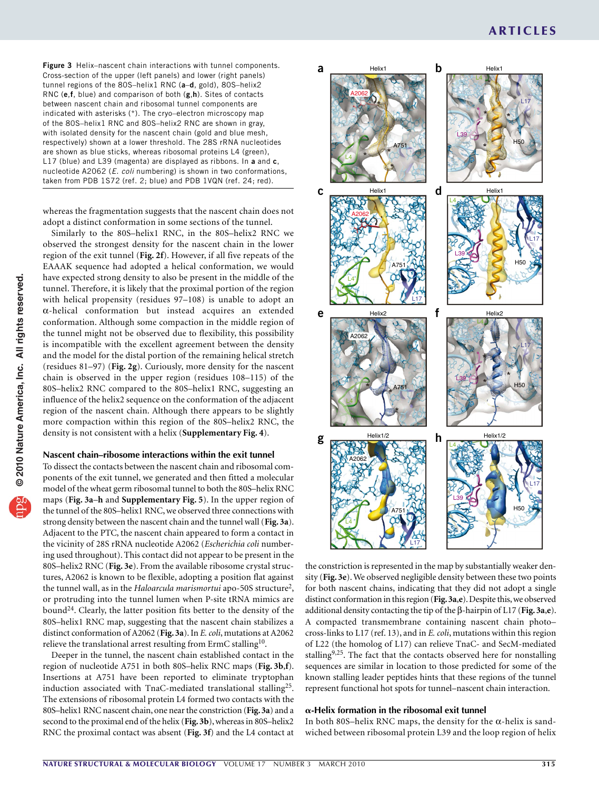<span id="page-2-0"></span>**Figure 3** Helix–nascent chain interactions with tunnel components. Cross-section of the upper (left panels) and lower (right panels) tunnel regions of the 80S–helix1 RNC (**a**–**d**, gold), 80S–helix2 RNC (**e**,**f**, blue) and comparison of both (**g**,**h**). Sites of contacts between nascent chain and ribosomal tunnel components are indicated with asterisks (\*). The cryo–electron microscopy map of the 80S–helix1 RNC and 80S–helix2 RNC are shown in gray, with isolated density for the nascent chain (gold and blue mesh, respectively) shown at a lower threshold. The 28S rRNA nucleotides are shown as blue sticks, whereas ribosomal proteins L4 (green), L17 (blue) and L39 (magenta) are displayed as ribbons. In **a** and **c**, nucleotide A2062 (*E. coli* numbering) is shown in two conformations, taken from PDB 1S72 (ref. 2; blue) and PDB 1VQN (ref. 24; red).

whereas the fragmentation suggests that the nascent chain does not adopt a distinct conformation in some sections of the tunnel.

Similarly to the 80S–helix1 RNC, in the 80S–helix2 RNC we observed the strongest density for the nascent chain in the lower region of the exit tunnel (**[Fig. 2f](#page-1-1)**). However, if all five repeats of the EAAAK sequence had adopted a helical conformation, we would have expected strong density to also be present in the middle of the tunnel. Therefore, it is likely that the proximal portion of the region with helical propensity (residues 97–108) is unable to adopt an α-helical conformation but instead acquires an extended conformation. Although some compaction in the middle region of the tunnel might not be observed due to flexibility, this possibility is incompatible with the excellent agreement between the density and the model for the distal portion of the remaining helical stretch (residues 81–97) (**[Fig. 2g](#page-1-1)**). Curiously, more density for the nascent chain is observed in the upper region (residues 108–115) of the 80S–helix2 RNC compared to the 80S–helix1 RNC, suggesting an influence of the helix2 sequence on the conformation of the adjacent region of the nascent chain. Although there appears to be slightly more compaction within this region of the 80S–helix2 RNC, the density is not consistent with a helix (**Supplementary Fig. 4**).

## **Nascent chain–ribosome interactions within the exit tunnel**

To dissect the contacts between the nascent chain and ribosomal components of the exit tunnel, we generated and then fitted a molecular model of the wheat germ ribosomal tunnel to both the 80S–helix RNC maps (**[Fig. 3a](#page-2-0)**–**h** and **Supplementary Fig. 5**). In the upper region of the tunnel of the 80S–helix1 RNC, we observed three connections with strong density between the nascent chain and the tunnel wall (**[Fig. 3a](#page-2-0)**). Adjacent to the PTC, the nascent chain appeared to form a contact in the vicinity of 28S rRNA nucleotide A2062 (*Escherichia coli* numbering used throughout). This contact did not appear to be present in the 80S–helix2 RNC (**[Fig. 3e](#page-2-0)**). From the available ribosome crystal structures, A2062 is known to be flexible, adopting a position flat against the tunnel wall, as in the *Haloarcula marismortui* apo-50S structure[2](#page-4-0), or protruding into the tunnel lumen when P-site tRNA mimics are bound<sup>[24](#page-4-6)</sup>. Clearly, the latter position fits better to the density of the 80S–helix1 RNC map, suggesting that the nascent chain stabilizes a distinct conformation of A2062 (**[Fig. 3a](#page-2-0)**). In *E. coli*, mutations at A2062 relieve the translational arrest resulting from ErmC stalling<sup>10</sup>.

Deeper in the tunnel, the nascent chain established contact in the region of nucleotide A751 in both 80S–helix RNC maps (**[Fig.](#page-2-0) 3b**,**f**). Insertions at A751 have been reported to eliminate tryptophan induction associated with TnaC-mediated translational stalling[25](#page-4-8). The extensions of ribosomal protein L4 formed two contacts with the 80S–helix1 RNC nascent chain, one near the constriction (**[Fig. 3a](#page-2-0)**) and a second to the proximal end of the helix (**[Fig. 3b](#page-2-0)**), whereas in 80S–helix2 RNC the proximal contact was absent (**[Fig. 3f](#page-2-0)**) and the L4 contact at



the constriction is represented in the map by substantially weaker density (**[Fig. 3e](#page-2-0)**). We observed negligible density between these two points for both nascent chains, indicating that they did not adopt a single distinct conformation in this region (**[Fig. 3a](#page-2-0)**,**e**). Despite this, we observed additional density contacting the tip of the β-hairpin of L17 (**[Fig. 3a](#page-2-0)**,**e**). A compacted transmembrane containing nascent chain photo– cross-links to L17 (ref. 13), and in *E. coli*, mutations within this region of L22 (the homolog of L17) can relieve TnaC- and SecM-mediated stalling<sup>9,25</sup>. The fact that the contacts observed here for nonstalling sequences are similar in location to those predicted for some of the known stalling leader peptides hints that these regions of the tunnel represent functional hot spots for tunnel–nascent chain interaction.

#### **-Helix formation in the ribosomal exit tunnel**

In both 80S–helix RNC maps, the density for the  $\alpha$ -helix is sandwiched between ribosomal protein L39 and the loop region of helix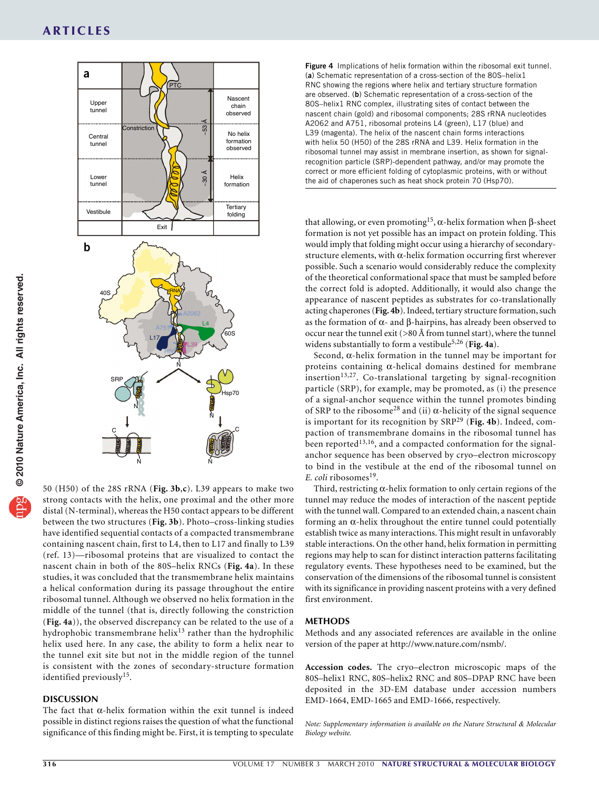

50 (H50) of the 28S rRNA (**[Fig. 3b](#page-2-0)**,**c**). L39 appears to make two strong contacts with the helix, one proximal and the other more distal (N-terminal), whereas the H50 contact appears to be different between the two structures (**[Fig. 3b](#page-2-0)**). Photo–cross-linking studies have identified sequential contacts of a compacted transmembrane containing nascent chain, first to L4, then to L17 and finally to L39 (ref. 13)—ribosomal proteins that are visualized to contact the nascent chain in both of the 80S–helix RNCs (**[Fig. 4a](#page-3-0)**). In these studies, it was concluded that the transmembrane helix maintains a helical conformation during its passage throughout the entire ribosomal tunnel. Although we observed no helix formation in the middle of the tunnel (that is, directly following the constriction (**[Fig. 4a](#page-3-0)**)), the observed discrepancy can be related to the use of a hydrophobic transmembrane helix<sup>[13](#page-4-3)</sup> rather than the hydrophilic helix used here. In any case, the ability to form a helix near to the tunnel exit site but not in the middle region of the tunnel is consistent with the zones of secondary-structure formation identified previously<sup>[15](#page-4-9)</sup>.

## **DISCUSSION**

The fact that  $\alpha$ -helix formation within the exit tunnel is indeed possible in distinct regions raises the question of what the functional significance of this finding might be. First, it is tempting to speculate

<span id="page-3-0"></span>**Figure 4** Implications of helix formation within the ribosomal exit tunnel. (**a**) Schematic representation of a cross-section of the 80S–helix1 RNC showing the regions where helix and tertiary structure formation are observed. (**b**) Schematic representation of a cross-section of the 80S–helix1 RNC complex, illustrating sites of contact between the nascent chain (gold) and ribosomal components; 28S rRNA nucleotides A2062 and A751, ribosomal proteins L4 (green), L17 (blue) and L39 (magenta). The helix of the nascent chain forms interactions with helix 50 (H50) of the 28S rRNA and L39. Helix formation in the ribosomal tunnel may assist in membrane insertion, as shown for signalrecognition particle (SRP)-dependent pathway, and/or may promote the correct or more efficient folding of cytoplasmic proteins, with or without the aid of chaperones such as heat shock protein 70 (Hsp70).

that allowing, or even promoting<sup>15</sup>, α-helix formation when β-sheet formation is not yet possible has an impact on protein folding. This would imply that folding might occur using a hierarchy of secondarystructure elements, with  $\alpha$ -helix formation occurring first wherever possible. Such a scenario would considerably reduce the complexity of the theoretical conformational space that must be sampled before the correct fold is adopted. Additionally, it would also change the appearance of nascent peptides as substrates for co-translationally acting chaperones (**[Fig. 4b](#page-3-0)**). Indeed, tertiary structure formation, such as the formation of  $\alpha$ - and  $\beta$ -hairpins, has already been observed to occur near the tunnel exit ( $>$ 80 Å from tunnel start), where the tunnel widens substantially to form a vestibule<sup>5,26</sup> ([Fig. 4a](#page-3-0)).

Second, α-helix formation in the tunnel may be important for proteins containing α-helical domains destined for membrane insertion $13,27$ . Co-translational targeting by signal-recognition particle (SRP), for example, may be promoted, as (i) the presence of a signal-anchor sequence within the tunnel promotes binding of SRP to the ribosome<sup>28</sup> and (ii)  $\alpha$ -helicity of the signal sequence is important for its recognition by SRP[29](#page-4-11) (**[Fig. 4b](#page-3-0)**). Indeed, compaction of transmembrane domains in the ribosomal tunnel has been reported<sup>13,16</sup>, and a compacted conformation for the signalanchor sequence has been observed by cryo–electron microscopy to bind in the vestibule at the end of the ribosomal tunnel on *E. coli* ribosomes<sup>[19](#page-4-12)</sup>.

Third, restricting  $\alpha$ -helix formation to only certain regions of the tunnel may reduce the modes of interaction of the nascent peptide with the tunnel wall. Compared to an extended chain, a nascent chain forming an  $\alpha$ -helix throughout the entire tunnel could potentially establish twice as many interactions. This might result in unfavorably stable interactions. On the other hand, helix formation in permitting regions may help to scan for distinct interaction patterns facilitating regulatory events. These hypotheses need to be examined, but the conservation of the dimensions of the ribosomal tunnel is consistent with its significance in providing nascent proteins with a very defined first environment.

#### **Methods**

Methods and any associated references are available in the online version of the paper at http://www.nature.com/nsmb/.

**Accession codes.** The cryo–electron microscopic maps of the 80S–helix1 RNC, 80S–helix2 RNC and 80S–DPAP RNC have been deposited in the 3D-EM database under accession numbers EMD-1664, EMD-1665 and EMD-1666, respectively.

*Note: Supplementary information is available on the Nature [Structural](http://www.nature.com/nsmb/) & Molecular [Biology](http://www.nature.com/nsmb/) website.*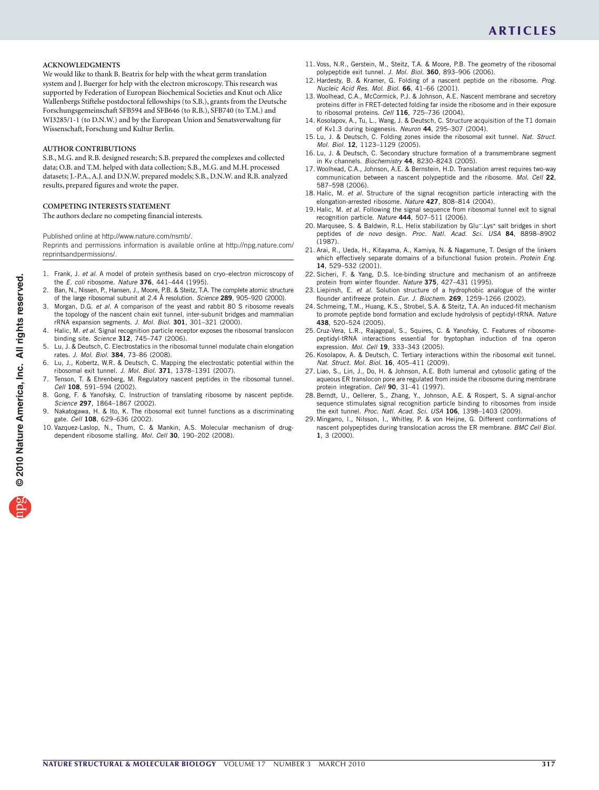#### **Acknowledgments**

We would like to thank B. Beatrix for help with the wheat germ translation system and J. Buerger for help with the electron microscopy. This research was supported by Federation of European Biochemical Societies and Knut och Alice Wallenbergs Stiftelse postdoctoral fellowships (to S.B.), grants from the Deutsche Forschungsgemeinschaft SFB594 and SFB646 (to R.B.), SFB740 (to T.M.) and WI3285/1-1 (to D.N.W.) and by the European Union and Senatsverwaltung für Wissenschaft, Forschung und Kultur Berlin.

#### **AUTHOR CONTRIBUTIONS**

S.B., M.G. and R.B. designed research; S.B. prepared the complexes and collected data; O.B. and T.M. helped with data collection; S.B., M.G. and M.H. processed datasets; J.-P.A., A.J. and D.N.W. prepared models; S.B., D.N.W. and R.B. analyzed results, prepared figures and wrote the paper.

#### **COMPETING INTERESTS STATEMENT**

The authors declare no competing financial interests.

Published online at http://www.nature.com/nsmb/.

Reprints and permissions information is available online at http://npg.nature.com/ reprintsandpermissions/.

- 1. Frank, J. *et al.* A model of protein synthesis based on cryo–electron microscopy of the *E. coli* ribosome. *Nature* **376**, 441–444 (1995).
- <span id="page-4-0"></span>2. Ban, N., Nissen, P., Hansen, J., Moore, P.B. & Steitz, T.A. The complete atomic structure of the large ribosomal subunit at 2.4 Å resolution. *Science* **289**, 905–920 (2000).
- 3. Morgan, D.G. *et al.* A comparison of the yeast and rabbit 80 S ribosome reveals the topology of the nascent chain exit tunnel, inter-subunit bridges and mammalian rRNA expansion segments. *J. Mol. Biol.* **301**, 301–321 (2000).
- 4. Halic, M. *et al.* Signal recognition particle receptor exposes the ribosomal translocon binding site. *Science* **312**, 745–747 (2006).
- Lu, J. & Deutsch, C. Electrostatics in the ribosomal tunnel modulate chain elongation rates. *J. Mol. Biol.* **384**, 73–86 (2008).
- Lu, J., Kobertz, W.R. & Deutsch, C. Mapping the electrostatic potential within the ribosomal exit tunnel. *J. Mol. Biol.* **371**, 1378–1391 (2007).
- <span id="page-4-1"></span>Tenson, T. & Ehrenberg, M. Regulatory nascent peptides in the ribosomal tunnel. *Cell* **108**, 591–594 (2002).
- Gong, F. & Yanofsky, C. Instruction of translating ribosome by nascent peptide. *Science* **297**, 1864–1867 (2002).
- 9. Nakatogawa, H. & Ito, K. The ribosomal exit tunnel functions as a discriminating gate. *Cell* **108**, 629–636 (2002).
- <span id="page-4-7"></span>10. Vazquez-Laslop, N., Thum, C. & Mankin, A.S. Molecular mechanism of drugdependent ribosome stalling. *Mol. Cell* **30**, 190–202 (2008).
- <span id="page-4-2"></span>11. Voss, N.R., Gerstein, M., Steitz, T.A. & Moore, P.B. The geometry of the ribosomal polypeptide exit tunnel. *J. Mol. Biol.* **360**, 893–906 (2006).
- <span id="page-4-4"></span>12. Hardesty, B. & Kramer, G. Folding of a nascent peptide on the ribosome. *Prog. Nucleic Acid Res. Mol. Biol.* **66**, 41–66 (2001).
- <span id="page-4-3"></span>13. Woolhead, C.A., McCormick, P.J. & Johnson, A.E. Nascent membrane and secretory proteins differ in FRET-detected folding far inside the ribosome and in their exposure to ribosomal proteins. *Cell* **116**, 725–736 (2004).
- 14. Kosolapov, A., Tu, L., Wang, J. & Deutsch, C. Structure acquisition of the T1 domain of Kv1.3 during biogenesis. *Neuron* **44**, 295–307 (2004).
- <span id="page-4-9"></span>15. Lu, J. & Deutsch, C. Folding zones inside the ribosomal exit tunnel. *Nat. Struct. Mol. Biol.* **12**, 1123–1129 (2005).
- 16. Lu, J. & Deutsch, C. Secondary structure formation of a transmembrane segment in Kv channels. *Biochemistry* **44**, 8230–8243 (2005).
- 17. Woolhead, C.A., Johnson, A.E. & Bernstein, H.D. Translation arrest requires two-way communication between a nascent polypeptide and the ribosome. *Mol. Cell* **22**, 587–598 (2006).
- <span id="page-4-13"></span>18. Halic, M. *et al.* Structure of the signal recognition particle interacting with the elongation-arrested ribosome. *Nature* **427**, 808–814 (2004).
- <span id="page-4-12"></span>19. Halic, M. *et al.* Following the signal sequence from ribosomal tunnel exit to signal recognition particle. *Nature* **444**, 507–511 (2006).
- 20. Marqusee, S. & Baldwin, R.L. Helix stabilization by Glu<sup>-</sup>.Lys<sup>+</sup> salt bridges in short peptides of *de novo* design. *Proc. Natl. Acad. Sci. USA* **84**, 8898–8902 (1987).
- 21. Arai, R., Ueda, H., Kitayama, A., Kamiya, N. & Nagamune, T. Design of the linkers which effectively separate domains of a bifunctional fusion protein. *Protein Eng.* **14**, 529–532 (2001).
- <span id="page-4-5"></span>22. Sicheri, F. & Yang, D.S. Ice-binding structure and mechanism of an antifreeze protein from winter flounder. *Nature* **375**, 427–431 (1995).
- 23. Liepinsh, E. *et al.* Solution structure of a hydrophobic analogue of the winter flounder antifreeze protein. *Eur. J. Biochem.* **269**, 1259–1266 (2002).
- <span id="page-4-6"></span>24. Schmeing, T.M., Huang, K.S., Strobel, S.A. & Steitz, T.A. An induced-fit mechanism to promote peptide bond formation and exclude hydrolysis of peptidyl-tRNA. *Nature* **438**, 520–524 (2005).
- <span id="page-4-8"></span>25. Cruz-Vera, L.R., Rajagopal, S., Squires, C. & Yanofsky, C. Features of ribosomepeptidyl-tRNA interactions essential for tryptophan induction of tna operon expression. *Mol. Cell* **19**, 333–343 (2005).
- 26. Kosolapov, A. & Deutsch, C. Tertiary interactions within the ribosomal exit tunnel. *Nat. Struct. Mol. Biol.* **16**, 405–411 (2009).
- 27. Liao, S., Lin, J., Do, H. & Johnson, A.E. Both lumenal and cytosolic gating of the aqueous ER translocon pore are regulated from inside the ribosome during membrane protein integration. *Cell* **90**, 31–41 (1997).
- <span id="page-4-10"></span>28. Berndt, U., Oellerer, S., Zhang, Y., Johnson, A.E. & Rospert, S. A signal-anchor sequence stimulates signal recognition particle binding to ribosomes from inside the exit tunnel. *Proc. Natl. Acad. Sci. USA* **106**, 1398–1403 (2009).
- <span id="page-4-11"></span>29. Mingarro, I., Nilsson, I., Whitley, P. & von Heijne, G. Different conformations of nascent polypeptides during translocation across the ER membrane. *BMC Cell Biol.* **1**, 3 (2000).